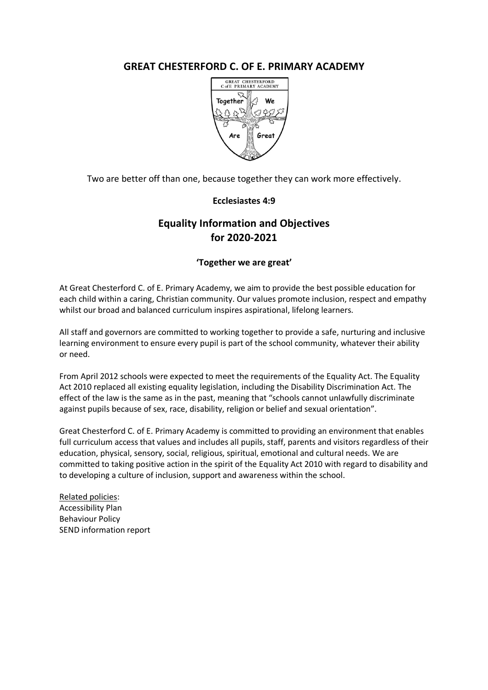## **GREAT CHESTERFORD C. OF E. PRIMARY ACADEMY**



Two are better off than one, because together they can work more effectively.

## **Ecclesiastes 4:9**

# **Equality Information and Objectives for 2020-2021**

## **'Together we are great'**

At Great Chesterford C. of E. Primary Academy, we aim to provide the best possible education for each child within a caring, Christian community. Our values promote inclusion, respect and empathy whilst our broad and balanced curriculum inspires aspirational, lifelong learners.

All staff and governors are committed to working together to provide a safe, nurturing and inclusive learning environment to ensure every pupil is part of the school community, whatever their ability or need.

From April 2012 schools were expected to meet the requirements of the Equality Act. The Equality Act 2010 replaced all existing equality legislation, including the Disability Discrimination Act. The effect of the law is the same as in the past, meaning that "schools cannot unlawfully discriminate against pupils because of sex, race, disability, religion or belief and sexual orientation".

Great Chesterford C. of E. Primary Academy is committed to providing an environment that enables full curriculum access that values and includes all pupils, staff, parents and visitors regardless of their education, physical, sensory, social, religious, spiritual, emotional and cultural needs. We are committed to taking positive action in the spirit of the Equality Act 2010 with regard to disability and to developing a culture of inclusion, support and awareness within the school.

Related policies: Accessibility Plan Behaviour Policy SEND information report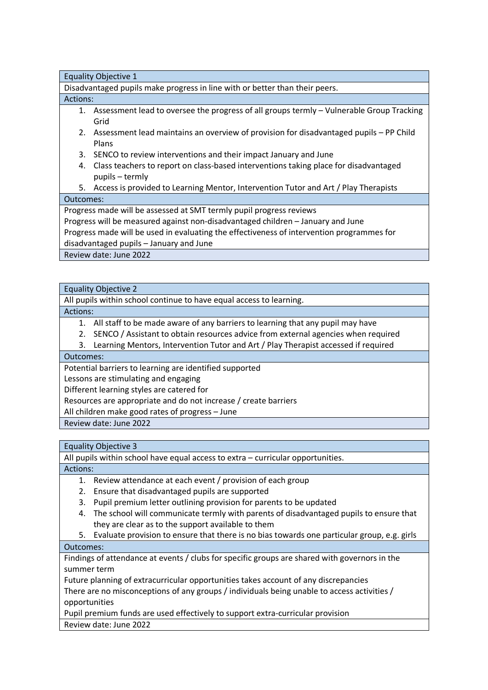Equality Objective 1

Disadvantaged pupils make progress in line with or better than their peers.

#### Actions:

- 1. Assessment lead to oversee the progress of all groups termly Vulnerable Group Tracking Grid
- 2. Assessment lead maintains an overview of provision for disadvantaged pupils PP Child Plans
- 3. SENCO to review interventions and their impact January and June
- 4. Class teachers to report on class-based interventions taking place for disadvantaged pupils – termly
- 5. Access is provided to Learning Mentor, Intervention Tutor and Art / Play Therapists

#### Outcomes:

Progress made will be assessed at SMT termly pupil progress reviews

Progress will be measured against non-disadvantaged children – January and June

Progress made will be used in evaluating the effectiveness of intervention programmes for

disadvantaged pupils – January and June

Review date: June 2022

#### Equality Objective 2

All pupils within school continue to have equal access to learning.

#### Actions:

1. All staff to be made aware of any barriers to learning that any pupil may have

2. SENCO / Assistant to obtain resources advice from external agencies when required

3. Learning Mentors, Intervention Tutor and Art / Play Therapist accessed if required

#### Outcomes:

Potential barriers to learning are identified supported

Lessons are stimulating and engaging

Different learning styles are catered for

Resources are appropriate and do not increase / create barriers

All children make good rates of progress – June

Review date: June 2022

## Equality Objective 3

All pupils within school have equal access to extra – curricular opportunities.

## Actions:

- 1. Review attendance at each event / provision of each group
- 2. Ensure that disadvantaged pupils are supported
- 3. Pupil premium letter outlining provision for parents to be updated
- 4. The school will communicate termly with parents of disadvantaged pupils to ensure that they are clear as to the support available to them
- 5. Evaluate provision to ensure that there is no bias towards one particular group, e.g. girls

## Outcomes:

Findings of attendance at events / clubs for specific groups are shared with governors in the summer term

Future planning of extracurricular opportunities takes account of any discrepancies

There are no misconceptions of any groups / individuals being unable to access activities / opportunities

Pupil premium funds are used effectively to support extra-curricular provision Review date: June 2022